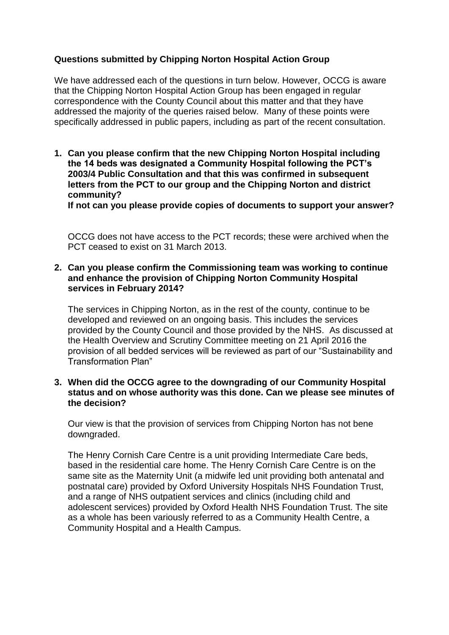# **Questions submitted by Chipping Norton Hospital Action Group**

We have addressed each of the questions in turn below. However, OCCG is aware that the Chipping Norton Hospital Action Group has been engaged in regular correspondence with the County Council about this matter and that they have addressed the majority of the queries raised below. Many of these points were specifically addressed in public papers, including as part of the recent consultation.

**1. Can you please confirm that the new Chipping Norton Hospital including the 14 beds was designated a Community Hospital following the PCT's 2003/4 Public Consultation and that this was confirmed in subsequent letters from the PCT to our group and the Chipping Norton and district community?** 

**If not can you please provide copies of documents to support your answer?**

OCCG does not have access to the PCT records; these were archived when the PCT ceased to exist on 31 March 2013.

## **2. Can you please confirm the Commissioning team was working to continue and enhance the provision of Chipping Norton Community Hospital services in February 2014?**

The services in Chipping Norton, as in the rest of the county, continue to be developed and reviewed on an ongoing basis. This includes the services provided by the County Council and those provided by the NHS. As discussed at the Health Overview and Scrutiny Committee meeting on 21 April 2016 the provision of all bedded services will be reviewed as part of our "Sustainability and Transformation Plan"

## **3. When did the OCCG agree to the downgrading of our Community Hospital status and on whose authority was this done. Can we please see minutes of the decision?**

Our view is that the provision of services from Chipping Norton has not bene downgraded.

The Henry Cornish Care Centre is a unit providing Intermediate Care beds, based in the residential care home. The Henry Cornish Care Centre is on the same site as the Maternity Unit (a midwife led unit providing both antenatal and postnatal care) provided by Oxford University Hospitals NHS Foundation Trust, and a range of NHS outpatient services and clinics (including child and adolescent services) provided by Oxford Health NHS Foundation Trust. The site as a whole has been variously referred to as a Community Health Centre, a Community Hospital and a Health Campus.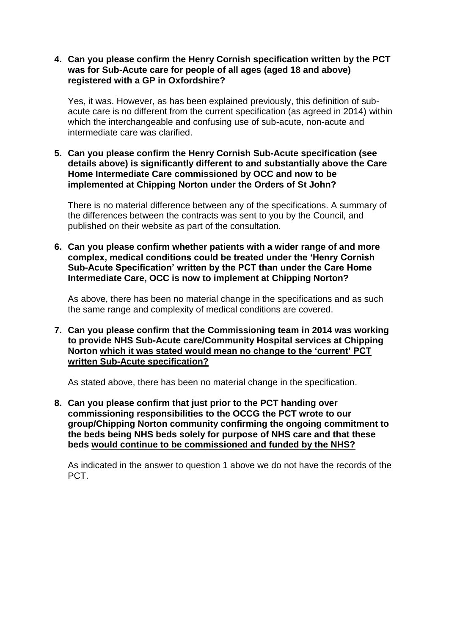## **4. Can you please confirm the Henry Cornish specification written by the PCT was for Sub-Acute care for people of all ages (aged 18 and above) registered with a GP in Oxfordshire?**

Yes, it was. However, as has been explained previously, this definition of subacute care is no different from the current specification (as agreed in 2014) within which the interchangeable and confusing use of sub-acute, non-acute and intermediate care was clarified.

**5. Can you please confirm the Henry Cornish Sub-Acute specification (see details above) is significantly different to and substantially above the Care Home Intermediate Care commissioned by OCC and now to be implemented at Chipping Norton under the Orders of St John?**

There is no material difference between any of the specifications. A summary of the differences between the contracts was sent to you by the Council, and published on their website as part of the consultation.

**6. Can you please confirm whether patients with a wider range of and more complex, medical conditions could be treated under the 'Henry Cornish Sub-Acute Specification' written by the PCT than under the Care Home Intermediate Care, OCC is now to implement at Chipping Norton?** 

As above, there has been no material change in the specifications and as such the same range and complexity of medical conditions are covered.

**7. Can you please confirm that the Commissioning team in 2014 was working to provide NHS Sub-Acute care/Community Hospital services at Chipping Norton which it was stated would mean no change to the 'current' PCT written Sub-Acute specification?** 

As stated above, there has been no material change in the specification.

**8. Can you please confirm that just prior to the PCT handing over commissioning responsibilities to the OCCG the PCT wrote to our group/Chipping Norton community confirming the ongoing commitment to the beds being NHS beds solely for purpose of NHS care and that these beds would continue to be commissioned and funded by the NHS?**

As indicated in the answer to question 1 above we do not have the records of the PCT.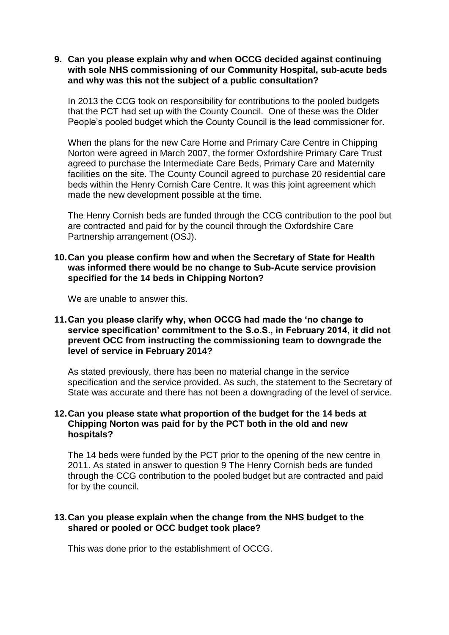## **9. Can you please explain why and when OCCG decided against continuing with sole NHS commissioning of our Community Hospital, sub-acute beds and why was this not the subject of a public consultation?**

In 2013 the CCG took on responsibility for contributions to the pooled budgets that the PCT had set up with the County Council. One of these was the Older People's pooled budget which the County Council is the lead commissioner for.

When the plans for the new Care Home and Primary Care Centre in Chipping Norton were agreed in March 2007, the former Oxfordshire Primary Care Trust agreed to purchase the Intermediate Care Beds, Primary Care and Maternity facilities on the site. The County Council agreed to purchase 20 residential care beds within the Henry Cornish Care Centre. It was this joint agreement which made the new development possible at the time.

The Henry Cornish beds are funded through the CCG contribution to the pool but are contracted and paid for by the council through the Oxfordshire Care Partnership arrangement (OSJ).

### **10.Can you please confirm how and when the Secretary of State for Health was informed there would be no change to Sub-Acute service provision specified for the 14 beds in Chipping Norton?**

We are unable to answer this.

## **11.Can you please clarify why, when OCCG had made the 'no change to service specification' commitment to the S.o.S., in February 2014, it did not prevent OCC from instructing the commissioning team to downgrade the level of service in February 2014?**

As stated previously, there has been no material change in the service specification and the service provided. As such, the statement to the Secretary of State was accurate and there has not been a downgrading of the level of service.

## **12.Can you please state what proportion of the budget for the 14 beds at Chipping Norton was paid for by the PCT both in the old and new hospitals?**

The 14 beds were funded by the PCT prior to the opening of the new centre in 2011. As stated in answer to question 9 The Henry Cornish beds are funded through the CCG contribution to the pooled budget but are contracted and paid for by the council.

### **13.Can you please explain when the change from the NHS budget to the shared or pooled or OCC budget took place?**

This was done prior to the establishment of OCCG.